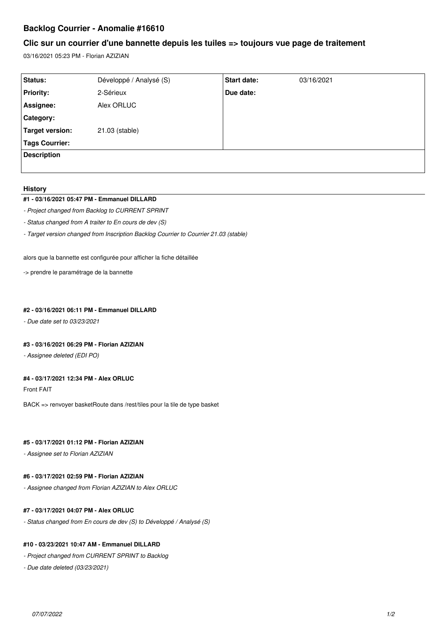# **Backlog Courrier - Anomalie #16610**

## **Clic sur un courrier d'une bannette depuis les tuiles => toujours vue page de traitement**

03/16/2021 05:23 PM - Florian AZIZIAN

| Status:            | Développé / Analysé (S) | Start date: | 03/16/2021 |
|--------------------|-------------------------|-------------|------------|
| <b>Priority:</b>   | 2-Sérieux               | Due date:   |            |
| Assignee:          | Alex ORLUC              |             |            |
| Category:          |                         |             |            |
| Target version:    | 21.03 (stable)          |             |            |
| Tags Courrier:     |                         |             |            |
| <b>Description</b> |                         |             |            |
|                    |                         |             |            |

#### **History**

### **#1 - 03/16/2021 05:47 PM - Emmanuel DILLARD**

- *Project changed from Backlog to CURRENT SPRINT*
- *Status changed from A traiter to En cours de dev (S)*
- *Target version changed from Inscription Backlog Courrier to Courrier 21.03 (stable)*

alors que la bannette est configurée pour afficher la fiche détaillée

-> prendre le paramétrage de la bannette

### **#2 - 03/16/2021 06:11 PM - Emmanuel DILLARD**

*- Due date set to 03/23/2021*

#### **#3 - 03/16/2021 06:29 PM - Florian AZIZIAN**

*- Assignee deleted (EDI PO)*

### **#4 - 03/17/2021 12:34 PM - Alex ORLUC**

Front FAIT

BACK => renvoyer basketRoute dans /rest/tiles pour la tile de type basket

## **#5 - 03/17/2021 01:12 PM - Florian AZIZIAN**

*- Assignee set to Florian AZIZIAN*

#### **#6 - 03/17/2021 02:59 PM - Florian AZIZIAN**

*- Assignee changed from Florian AZIZIAN to Alex ORLUC*

### **#7 - 03/17/2021 04:07 PM - Alex ORLUC**

*- Status changed from En cours de dev (S) to Développé / Analysé (S)*

### **#10 - 03/23/2021 10:47 AM - Emmanuel DILLARD**

- *Project changed from CURRENT SPRINT to Backlog*
- *Due date deleted (03/23/2021)*